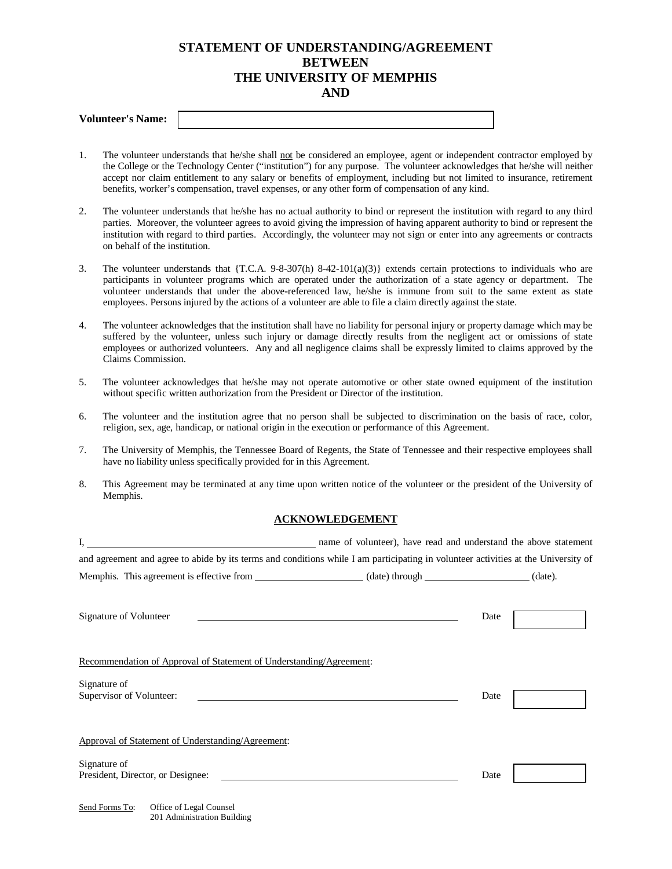## **STATEMENT OF UNDERSTANDING/AGREEMENT BETWEEN THE UNIVERSITY OF MEMPHIS AND**

- 1. The volunteer understands that he/she shall not be considered an employee, agent or independent contractor employed by the College or the Technology Center ("institution") for any purpose. The volunteer acknowledges that he/she will neither accept nor claim entitlement to any salary or benefits of employment, including but not limited to insurance, retirement benefits, worker's compensation, travel expenses, or any other form of compensation of any kind.
- 2. The volunteer understands that he/she has no actual authority to bind or represent the institution with regard to any third parties. Moreover, the volunteer agrees to avoid giving the impression of having apparent authority to bind or represent the institution with regard to third parties. Accordingly, the volunteer may not sign or enter into any agreements or contracts on behalf of the institution.
- 3. The volunteer understands that  ${T.C.A. 9-8-307(h) 8-42-101(a)(3)}$  extends certain protections to individuals who are participants in volunteer programs which are operated under the authorization of a state agency or department. The volunteer understands that under the above-referenced law, he/she is immune from suit to the same extent as state employees. Persons injured by the actions of a volunteer are able to file a claim directly against the state.
- 4. The volunteer acknowledges that the institution shall have no liability for personal injury or property damage which may be suffered by the volunteer, unless such injury or damage directly results from the negligent act or omissions of state employees or authorized volunteers. Any and all negligence claims shall be expressly limited to claims approved by the Claims Commission.
- 5. The volunteer acknowledges that he/she may not operate automotive or other state owned equipment of the institution without specific written authorization from the President or Director of the institution.
- 6. The volunteer and the institution agree that no person shall be subjected to discrimination on the basis of race, color, religion, sex, age, handicap, or national origin in the execution or performance of this Agreement.
- 7. The University of Memphis, the Tennessee Board of Regents, the State of Tennessee and their respective employees shall have no liability unless specifically provided for in this Agreement.
- 8. This Agreement may be terminated at any time upon written notice of the volunteer or the president of the University of Memphis.

## **ACKNOWLEDGEMENT**

|                                                                                                                                    | name of volunteer), have read and understand the above statement                                                             |  |
|------------------------------------------------------------------------------------------------------------------------------------|------------------------------------------------------------------------------------------------------------------------------|--|
| and agreement and agree to abide by its terms and conditions while I am participating in volunteer activities at the University of |                                                                                                                              |  |
|                                                                                                                                    |                                                                                                                              |  |
| Signature of Volunteer                                                                                                             | Date<br><u> 1980 - Jan Samuel Barbara, martin da shekarar 1980 - An tsara 1980 - An tsara 1980 - An tsara 1980 - An tsar</u> |  |
| Recommendation of Approval of Statement of Understanding/Agreement:                                                                |                                                                                                                              |  |
| Signature of<br>Supervisor of Volunteer:                                                                                           | Date                                                                                                                         |  |
| Approval of Statement of Understanding/Agreement:                                                                                  |                                                                                                                              |  |
| Signature of<br>President, Director, or Designee:                                                                                  | Date                                                                                                                         |  |
| Send Forms To:<br>Office of Legal Counsel<br>201 Administration Building                                                           |                                                                                                                              |  |